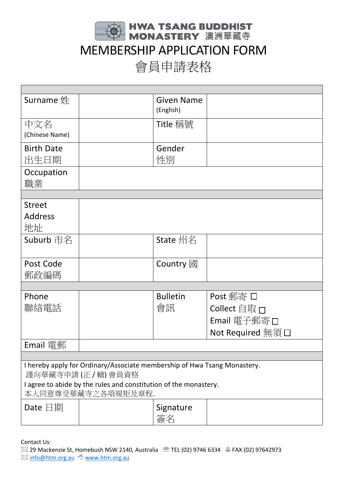

## MEMBERSHIP APPLICATION FORM

會員申請表格

| Surname $#$                                                                                      |  | <b>Given Name</b><br>(English)  |                                                   |  |
|--------------------------------------------------------------------------------------------------|--|---------------------------------|---------------------------------------------------|--|
| 中文名                                                                                              |  | Title 稱號                        |                                                   |  |
| (Chinese Name)                                                                                   |  |                                 |                                                   |  |
| <b>Birth Date</b>                                                                                |  | Gender                          |                                                   |  |
|                                                                                                  |  |                                 |                                                   |  |
| 出生日期                                                                                             |  | 性別                              |                                                   |  |
| Occupation                                                                                       |  |                                 |                                                   |  |
| 職業                                                                                               |  |                                 |                                                   |  |
|                                                                                                  |  |                                 |                                                   |  |
| <b>Street</b>                                                                                    |  |                                 |                                                   |  |
| <b>Address</b>                                                                                   |  |                                 |                                                   |  |
| 地址                                                                                               |  |                                 |                                                   |  |
| Suburb 市名                                                                                        |  | State 州名                        |                                                   |  |
|                                                                                                  |  |                                 |                                                   |  |
| Post Code                                                                                        |  | Country $\mathbb{\overline{B}}$ |                                                   |  |
| 郵政編碼                                                                                             |  |                                 |                                                   |  |
|                                                                                                  |  |                                 |                                                   |  |
| Phone                                                                                            |  | <b>Bulletin</b>                 | Post 郵寄 口                                         |  |
| 聯絡電話                                                                                             |  | 會訊                              | Collect 自取 $\Box$                                 |  |
|                                                                                                  |  |                                 | Email 電子郵寄口                                       |  |
|                                                                                                  |  |                                 | Not Required $\overline{m}$ $\overline{q}$ $\Box$ |  |
| <b>Email</b> 電郵                                                                                  |  |                                 |                                                   |  |
|                                                                                                  |  |                                 |                                                   |  |
| I hereby apply for Ordinary/Associate membership of Hwa Tsang Monastery.<br>謹向華藏寺申請 (正 / 輔) 會員資格 |  |                                 |                                                   |  |
| I agree to abide by the rules and constitution of the monastery.                                 |  |                                 |                                                   |  |
| 本人同意尊受華藏寺之各項規矩及章程.                                                                               |  |                                 |                                                   |  |
| Date $\Xi$ 期                                                                                     |  | Signature                       |                                                   |  |
|                                                                                                  |  | 簽名                              |                                                   |  |
|                                                                                                  |  |                                 |                                                   |  |

Contact Us:

 $\boxtimes$  29 Mackenzie St, Homebush NSW 2140, Australia  $\textcircled{R}$  TEL (02) 9746 6334  $\textcircled{R}$  FAX (02) 97642973 ⊠ [info@htm.org.au](mailto:info@htm.org.au) <sup>●</sup> [www.htm.org.au](http://www.htm.org.au/)